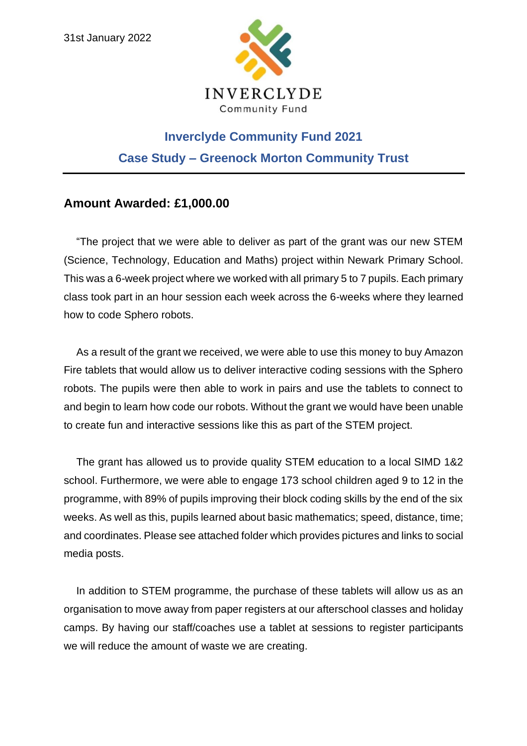

## **Inverclyde Community Fund 2021 Case Study – Greenock Morton Community Trust**

## **Amount Awarded: £1,000.00**

"The project that we were able to deliver as part of the grant was our new STEM (Science, Technology, Education and Maths) project within Newark Primary School. This was a 6-week project where we worked with all primary 5 to 7 pupils. Each primary class took part in an hour session each week across the 6-weeks where they learned how to code Sphero robots.

As a result of the grant we received, we were able to use this money to buy Amazon Fire tablets that would allow us to deliver interactive coding sessions with the Sphero robots. The pupils were then able to work in pairs and use the tablets to connect to and begin to learn how code our robots. Without the grant we would have been unable to create fun and interactive sessions like this as part of the STEM project.

The grant has allowed us to provide quality STEM education to a local SIMD 1&2 school. Furthermore, we were able to engage 173 school children aged 9 to 12 in the programme, with 89% of pupils improving their block coding skills by the end of the six weeks. As well as this, pupils learned about basic mathematics; speed, distance, time; and coordinates. Please see attached folder which provides pictures and links to social media posts.

In addition to STEM programme, the purchase of these tablets will allow us as an organisation to move away from paper registers at our afterschool classes and holiday camps. By having our staff/coaches use a tablet at sessions to register participants we will reduce the amount of waste we are creating.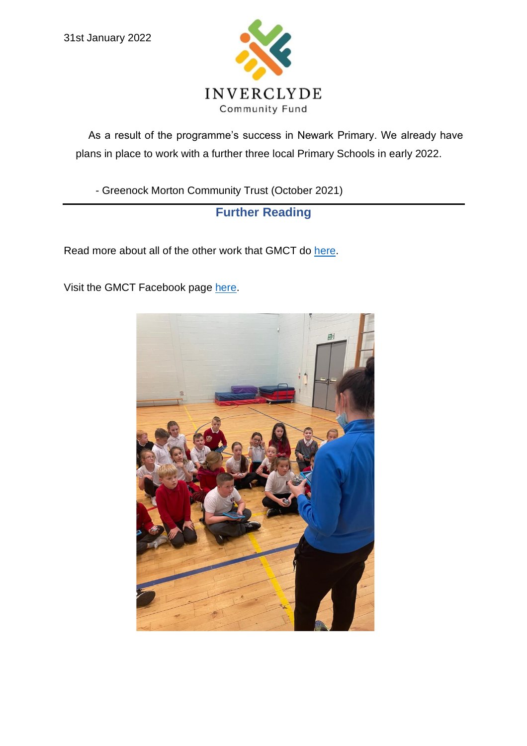

As a result of the programme's success in Newark Primary. We already have plans in place to work with a further three local Primary Schools in early 2022.

- Greenock Morton Community Trust (October 2021)

**Further Reading**

Read more about all of the other work that GMCT do [here.](https://www.google.com/url?sa=t&rct=j&q=&esrc=s&source=web&cd=&cad=rja&uact=8&ved=2ahUKEwip2-Lv3971AhXbPsAKHXDdDc8QFnoECAoQAQ&url=http%3A%2F%2Fmortoncommunity.net%2F&usg=AOvVaw19IZkRu4sXsrgzyDxLVc6D)

Visit the GMCT Facebook page [here.](https://www.google.com/url?sa=t&rct=j&q=&esrc=s&source=web&cd=&cad=rja&uact=8&ved=2ahUKEwip2-Lv3971AhXbPsAKHXDdDc8QFnoECAYQAQ&url=https%3A%2F%2Fwww.facebook.com%2FMortonCommunity%2F&usg=AOvVaw25Adnw0aV4tV8poKuo9577)